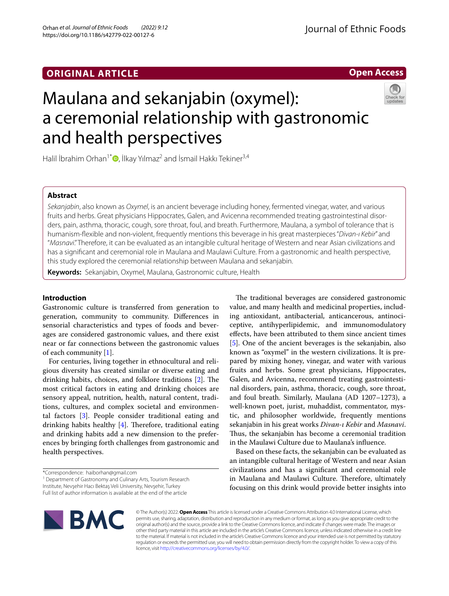## **ORIGINAL ARTICLE**

**Open Access**

# Maulana and sekanjabin (oxymel): a ceremonial relationship with gastronomic and health perspectives



Halil İbrahim Orhan<sup>1[\\*](http://orcid.org/0000-0002-7244-1396)</sup> , İlkay Yılmaz<sup>2</sup> and İsmail Hakkı Tekiner<sup>3,4</sup>

## **Abstract**

*Sekanjabin*, also known as *Oxymel*, is an ancient beverage including honey, fermented vinegar, water, and various fruits and herbs. Great physicians Hippocrates, Galen, and Avicenna recommended treating gastrointestinal disorders, pain, asthma, thoracic, cough, sore throat, foul, and breath. Furthermore, Maulana, a symbol of tolerance that is humanism-fexible and non-violent, frequently mentions this beverage in his great masterpieces "*Divan-ı Kebir*" and "*Masnavi*." Therefore, it can be evaluated as an intangible cultural heritage of Western and near Asian civilizations and has a signifcant and ceremonial role in Maulana and Maulawi Culture. From a gastronomic and health perspective, this study explored the ceremonial relationship between Maulana and sekanjabin.

**Keywords:** Sekanjabin, Oxymel, Maulana, Gastronomic culture, Health

## **Introduction**

Gastronomic culture is transferred from generation to generation, community to community. Diferences in sensorial characteristics and types of foods and beverages are considered gastronomic values, and there exist near or far connections between the gastronomic values of each community [[1\]](#page-3-0).

For centuries, living together in ethnocultural and religious diversity has created similar or diverse eating and drinking habits, choices, and folklore traditions  $[2]$  $[2]$ . The most critical factors in eating and drinking choices are sensory appeal, nutrition, health, natural content, traditions, cultures, and complex societal and environmental factors [[3](#page-3-2)]. People consider traditional eating and drinking habits healthy  $[4]$  $[4]$ . Therefore, traditional eating and drinking habits add a new dimension to the preferences by bringing forth challenges from gastronomic and health perspectives.

<sup>1</sup> Department of Gastronomy and Culinary Arts, Tourism Research Institute, Nevşehir Hacı Bektaş Veli University, Nevşehir, Turkey Full list of author information is available at the end of the article

The traditional beverages are considered gastronomic value, and many health and medicinal properties, including antioxidant, antibacterial, anticancerous, antinociceptive, antihyperlipidemic, and immunomodulatory efects, have been attributed to them since ancient times [[5\]](#page-3-4). One of the ancient beverages is the sekanjabin, also known as "oxymel" in the western civilizations. It is prepared by mixing honey, vinegar, and water with various fruits and herbs. Some great physicians, Hippocrates, Galen, and Avicenna, recommend treating gastrointestinal disorders, pain, asthma, thoracic, cough, sore throat, and foul breath. Similarly, Maulana (AD 1207–1273), a well-known poet, jurist, muhaddist, commentator, mystic, and philosopher worldwide, frequently mentions sekanjabin in his great works *Divan-ı Kebir* and *Masnavi*. Thus, the sekanjabin has become a ceremonial tradition in the Maulawi Culture due to Maulana's infuence.

Based on these facts, the sekanjabin can be evaluated as an intangible cultural heritage of Western and near Asian civilizations and has a signifcant and ceremonial role in Maulana and Maulawi Culture. Therefore, ultimately focusing on this drink would provide better insights into



© The Author(s) 2022. **Open Access** This article is licensed under a Creative Commons Attribution 4.0 International License, which permits use, sharing, adaptation, distribution and reproduction in any medium or format, as long as you give appropriate credit to the original author(s) and the source, provide a link to the Creative Commons licence, and indicate if changes were made. The images or other third party material in this article are included in the article's Creative Commons licence, unless indicated otherwise in a credit line to the material. If material is not included in the article's Creative Commons licence and your intended use is not permitted by statutory regulation or exceeds the permitted use, you will need to obtain permission directly from the copyright holder. To view a copy of this licence, visit [http://creativecommons.org/licenses/by/4.0/.](http://creativecommons.org/licenses/by/4.0/)

<sup>\*</sup>Correspondence: haiborhan@gmail.com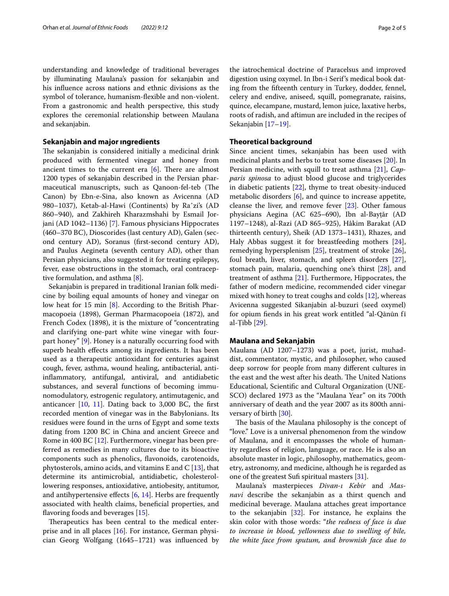understanding and knowledge of traditional beverages by illuminating Maulana's passion for sekanjabin and his infuence across nations and ethnic divisions as the symbol of tolerance, humanism-fexible and non-violent. From a gastronomic and health perspective, this study explores the ceremonial relationship between Maulana and sekanjabin.

#### **Sekanjabin and major ıngredients**

The sekanjabin is considered initially a medicinal drink produced with fermented vinegar and honey from ancient times to the current era  $[6]$  $[6]$ . There are almost 1200 types of sekanjabin described in the Persian pharmaceutical manuscripts, such as Qanoon-fel-teb (The Canon) by Ebn-e-Sina, also known as Avicenna (AD 980–1037), Ketab-al-Hawi (Continents) by Raˆzi's (AD 860–940), and Zakhireh Kharazmshahi by Esmail Jorjani (AD 1042–1136) [\[7](#page-3-6)]. Famous physicians Hippocrates (460–370 BC), Dioscorides (last century AD), Galen (second century AD), Soranus (frst-second century AD), and Paulus Aegineta (seventh century AD), other than Persian physicians, also suggested it for treating epilepsy, fever, ease obstructions in the stomach, oral contraceptive formulation, and asthma [[8\]](#page-3-7).

Sekanjabin is prepared in traditional Iranian folk medicine by boiling equal amounts of honey and vinegar on low heat for 15 min [\[8](#page-3-7)]. According to the British Pharmacopoeia (1898), German Pharmacopoeia (1872), and French Codex (1898), it is the mixture of "concentrating and clarifying one-part white wine vinegar with fourpart honey" [\[9\]](#page-3-8). Honey is a naturally occurring food with superb health effects among its ingredients. It has been used as a therapeutic antioxidant for centuries against cough, fever, asthma, wound healing, antibacterial, antiinfammatory, antifungal, antiviral, and antidiabetic substances, and several functions of becoming immunomodulatory, estrogenic regulatory, antimutagenic, and anticancer  $[10, 11]$  $[10, 11]$  $[10, 11]$  $[10, 11]$  $[10, 11]$ . Dating back to 3,000 BC, the first recorded mention of vinegar was in the Babylonians. Its residues were found in the urns of Egypt and some texts dating from 1200 BC in China and ancient Greece and Rome in 400 BC [[12](#page-3-11)]. Furthermore, vinegar has been preferred as remedies in many cultures due to its bioactive components such as phenolics, favonoids, carotenoids, phytosterols, amino acids, and vitamins E and C  $[13]$  $[13]$ , that determine its antimicrobial, antidiabetic, cholesterollowering responses, antioxidative, antiobesity, antitumor, and antihypertensive effects  $[6, 14]$  $[6, 14]$  $[6, 14]$  $[6, 14]$ . Herbs are frequently associated with health claims, benefcial properties, and flavoring foods and beverages [\[15\]](#page-3-14).

Therapeutics has been central to the medical enterprise and in all places [[16\]](#page-3-15). For instance, German physician Georg Wolfgang (1645–1721) was infuenced by

the iatrochemical doctrine of Paracelsus and improved digestion using oxymel. In Ibn-i Serif's medical book dating from the ffteenth century in Turkey, dodder, fennel, celery and endive, aniseed, squill, pomegranate, raisins, quince, elecampane, mustard, lemon juice, laxative herbs, roots of radish, and aftimun are included in the recipes of Sekanjabin [[17](#page-3-16)[–19](#page-4-0)].

#### **Theoretical background**

Since ancient times, sekanjabin has been used with medicinal plants and herbs to treat some diseases [\[20](#page-4-1)]. In Persian medicine, with squill to treat asthma [\[21](#page-4-2)], *Capparis spinosa* to adjust blood glucose and triglycerides in diabetic patients [\[22\]](#page-4-3), thyme to treat obesity-induced metabolic disorders [[6\]](#page-3-5), and quince to increase appetite, cleanse the liver, and remove fever [[23](#page-4-4)]. Other famous physicians Aegina (AC 625–690), Ibn al-Bayṭār (AD 1197–1248), al-Razi (AD 865–925), Hâkim Barakat (AD thirteenth century), Sheik (AD 1373–1431), Rhazes, and Haly Abbas suggest it for breastfeeding mothers [\[24](#page-4-5)], remedying hypersplenism [[25\]](#page-4-6), treatment of stroke [\[26](#page-4-7)], foul breath, liver, stomach, and spleen disorders [\[27](#page-4-8)], stomach pain, malaria, quenching one's thirst [\[28](#page-4-9)], and treatment of asthma [\[21](#page-4-2)]. Furthermore, Hippocrates, the father of modern medicine, recommended cider vinegar mixed with honey to treat coughs and colds [[12](#page-3-11)], whereas Avicenna suggested Sikanjabin al-buzuri (seed oxymel) for opium fends in his great work entitled "al-Qānūn fī al-Ṭibb [[29\]](#page-4-10).

#### **Maulana and Sekanjabin**

Maulana (AD 1207–1273) was a poet, jurist, muhaddist, commentator, mystic, and philosopher, who caused deep sorrow for people from many diferent cultures in the east and the west after his death. The United Nations Educational, Scientifc and Cultural Organization (UNE-SCO) declared 1973 as the "Maulana Year" on its 700th anniversary of death and the year 2007 as its 800th anniversary of birth [[30\]](#page-4-11).

The basis of the Maulana philosophy is the concept of "love." Love is a universal phenomenon from the window of Maulana, and it encompasses the whole of humanity regardless of religion, language, or race. He is also an absolute master in logic, philosophy, mathematics, geometry, astronomy, and medicine, although he is regarded as one of the greatest Sufi spiritual masters [[31](#page-4-12)].

Maulana's masterpieces *Divan-ı Kebir* and *Masnavi* describe the sekanjabin as a thirst quench and medicinal beverage. Maulana attaches great importance to the sekanjabin [\[32](#page-4-13)]. For instance, he explains the skin color with those words: "*the redness of face is due to increase in blood, yellowness due to swelling of bile, the white face from sputum, and brownish face due to*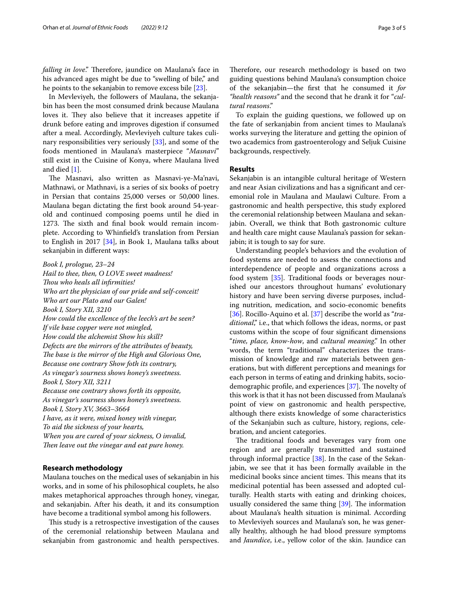falling in love." Therefore, jaundice on Maulana's face in his advanced ages might be due to "swelling of bile," and he points to the sekanjabin to remove excess bile [[23\]](#page-4-4).

In Mevleviyeh, the followers of Maulana, the sekanjabin has been the most consumed drink because Maulana loves it. They also believe that it increases appetite if drunk before eating and improves digestion if consumed after a meal. Accordingly, Mevleviyeh culture takes culinary responsibilities very seriously [\[33](#page-4-14)], and some of the foods mentioned in Maulana's masterpiece "*Masnavi*" still exist in the Cuisine of Konya, where Maulana lived and died [\[1](#page-3-0)].

The Masnavi, also written as Masnavi-ye-Ma'navi, Mathnawi, or Mathnavi, is a series of six books of poetry in Persian that contains 25,000 verses or 50,000 lines. Maulana began dictating the frst book around 54-yearold and continued composing poems until he died in 1273. The sixth and final book would remain incomplete. According to Whinfeld's translation from Persian to English in 2017 [[34\]](#page-4-15), in Book 1, Maulana talks about sekanjabin in diferent ways:

*Book I, prologue, 23–24 Hail to thee, then, O LOVE sweet madness! Tou who heals all infrmities! Who art the physician of our pride and self-conceit! Who art our Plato and our Galen! Book I, Story XII, 3210 How could the excellence of the leech's art be seen? If vile base copper were not mingled, How could the alchemist Show his skill? Defects are the mirrors of the attributes of beauty, The base is the mirror of the High and Glorious One, Because one contrary Show foth its contrary, As vinegar's sourness shows honey's sweetness. Book I, Story XII, 3211 Because one contrary shows forth its opposite, As vinegar's sourness shows honey's sweetness. Book I, Story XV, 3663–3664 I have, as it were, mixed honey with vinegar, To aid the sickness of your hearts, When you are cured of your sickness, O invalid,* Then leave out the vinegar and eat pure honey.

## **Research methodology**

Maulana touches on the medical uses of sekanjabin in his works, and in some of his philosophical couplets, he also makes metaphorical approaches through honey, vinegar, and sekanjabin. After his death, it and its consumption have become a traditional symbol among his followers.

This study is a retrospective investigation of the causes of the ceremonial relationship between Maulana and sekanjabin from gastronomic and health perspectives.

Therefore, our research methodology is based on two guiding questions behind Maulana's consumption choice of the sekanjabin—the frst that he consumed it *for "health reasons"* and the second that he drank it for "*cultural reasons*."

To explain the guiding questions, we followed up on the fate of serkanjabin from ancient times to Maulana's works surveying the literature and getting the opinion of two academics from gastroenterology and Seljuk Cuisine backgrounds, respectively.

#### **Results**

Sekanjabin is an intangible cultural heritage of Western and near Asian civilizations and has a signifcant and ceremonial role in Maulana and Maulawi Culture. From a gastronomic and health perspective, this study explored the ceremonial relationship between Maulana and sekanjabin. Overall, we think that Both gastronomic culture and health care might cause Maulana's passion for sekanjabin; it is tough to say for sure.

Understanding people's behaviors and the evolution of food systems are needed to assess the connections and interdependence of people and organizations across a food system [[35\]](#page-4-16). Traditional foods or beverages nourished our ancestors throughout humans' evolutionary history and have been serving diverse purposes, including nutrition, medication, and socio-economic benefts [[36\]](#page-4-17). Rocillo-Aquino et al. [[37](#page-4-18)] describe the world as "*traditional*," i.e., that which follows the ideas, norms, or past customs within the scope of four signifcant dimensions "*time, place, know-how*, and *cultural meaning*." In other words, the term "traditional" characterizes the transmission of knowledge and raw materials between generations, but with diferent perceptions and meanings for each person in terms of eating and drinking habits, sociodemographic profile, and experiences  $[37]$ . The novelty of this work is that it has not been discussed from Maulana's point of view on gastronomic and health perspective, although there exists knowledge of some characteristics of the Sekanjabin such as culture, history, regions, celebration, and ancient categories.

The traditional foods and beverages vary from one region and are generally transmitted and sustained through informal practice  $[38]$  $[38]$ . In the case of the Sekanjabin, we see that it has been formally available in the medicinal books since ancient times. This means that its medicinal potential has been assessed and adopted culturally. Health starts with eating and drinking choices, usually considered the same thing  $[39]$  $[39]$  $[39]$ . The information about Maulana's health situation is minimal. According to Mevleviyeh sources and Maulana's son, he was generally healthy, although he had blood pressure symptoms and *Jaundice*, i.e., yellow color of the skin. Jaundice can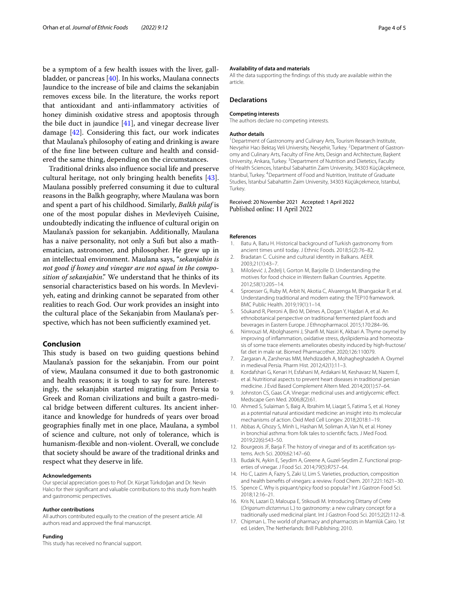be a symptom of a few health issues with the liver, gallbladder, or pancreas [\[40](#page-4-21)]. In his works, Maulana connects Jaundice to the increase of bile and claims the sekanjabin removes excess bile. In the literature, the works report that antioxidant and anti-infammatory activities of honey diminish oxidative stress and apoptosis through the bile duct in jaundice [\[41\]](#page-4-22), and vinegar decrease liver damage [[42\]](#page-4-23). Considering this fact, our work indicates that Maulana's philosophy of eating and drinking is aware of the fne line between culture and health and considered the same thing, depending on the circumstances.

Traditional drinks also infuence social life and preserve cultural heritage, not only bringing health benefts [\[43](#page-4-24)]. Maulana possibly preferred consuming it due to cultural reasons in the Balkh geography, where Maulana was born and spent a part of his childhood. Similarly, *Balkh pilaf* is one of the most popular dishes in Mevleviyeh Cuisine, undoubtedly indicating the infuence of cultural origin on Maulana's passion for sekanjabin. Additionally, Maulana has a naive personality, not only a Sufi but also a mathematician, astronomer, and philosopher. He grew up in an intellectual environment. Maulana says, "*sekanjabin is not good if honey and vinegar are not equal in the composition of sekanjabin*." We understand that he thinks of its sensorial characteristics based on his words. In Mevleviyeh, eating and drinking cannot be separated from other realities to reach God. Our work provides an insight into the cultural place of the Sekanjabin from Maulana's perspective, which has not been sufficiently examined yet.

#### **Conclusion**

This study is based on two guiding questions behind Maulana's passion for the sekanjabin. From our point of view, Maulana consumed it due to both gastronomic and health reasons; it is tough to say for sure. Interestingly, the sekanjabin started migrating from Persia to Greek and Roman civilizations and built a gastro-medical bridge between diferent cultures. Its ancient inheritance and knowledge for hundreds of years over broad geographies fnally met in one place, Maulana, a symbol of science and culture, not only of tolerance, which is humanism-fexible and non-violent. Overall, we conclude that society should be aware of the traditional drinks and respect what they deserve in life.

#### **Acknowledgements**

Our special appreciation goes to Prof. Dr. Kürşat Türkdoğan and Dr. Nevin Halıcı for their signifcant and valuable contributions to this study from health and gastronomic perspectives.

#### **Author contributions**

All authors contributed equally to the creation of the present article. All authors read and approved the fnal manuscript.

#### **Funding**

This study has received no fnancial support.

#### **Availability of data and materials**

All the data supporting the fndings of this study are available within the article.

## **Declarations**

#### **Competing interests**

The authors declare no competing interests.

#### **Author details**

<sup>1</sup> Department of Gastronomy and Culinary Arts, Tourism Research Institute, Nevşehir Hacı Bektaş Veli University, Nevşehir, Turkey. <sup>2</sup> Department of Gastronomy and Culinary Arts, Faculty of Fine Arts, Design and Architecture, Başkent University, Ankara, Turkey. <sup>3</sup> Department of Nutrition and Dietetics, Faculty of Health Sciences, İstanbul Sabahattin Zaim University, 34303 Küçükçekmece, Istanbul, Turkey. <sup>4</sup> Department of Food and Nutrition, Institute of Graduate Studies, İstanbul Sabahattin Zaim University, 34303 Küçükçekmece, Istanbul, Turkey.

#### Received: 20 November 2021 Accepted: 1 April 2022 Published online: 11 April 2022

#### **References**

- <span id="page-3-0"></span>1. Batu A, Batu H. Historical background of Turkish gastronomy from ancient times until today. J Ethnic Foods. 2018;5(2):76–82.
- <span id="page-3-1"></span>2. Bradatan C. Cuisine and cultural identity in Balkans. AEER. 2003;21(1):43–7.
- <span id="page-3-2"></span>3. Milošević J, Žeželj I, Gorton M, Barjolle D. Understanding the motives for food choice in Western Balkan Countries. Appetite. 2012;58(1):205–14.
- <span id="page-3-3"></span>4. Sproesser G, Ruby M, Arbit N, Akotia C, Alvarenga M, Bhangaokar R, et al. Understanding traditional and modern eating: the TEP10 framework. BMC Public Health. 2019;19(1):1–14.
- <span id="page-3-4"></span>5. Sõukand R, Pieroni A, Biró M, Dénes A, Dogan Y, Hajdari A, et al. An ethnobotanical perspective on traditional fermented plant foods and beverages in Eastern Europe. J Ethnopharmacol. 2015;170:284–96.
- <span id="page-3-5"></span>6. Nimrouzi M, Abolghasemi J, Sharif M, Nasiri K, Akbari A. Thyme oxymel by improving of infammation, oxidative stress, dyslipidemia and homeostasis of some trace elements ameliorates obesity induced by high-fructose/ fat diet in male rat. Biomed Pharmacother. 2020;126:110079.
- <span id="page-3-6"></span>7. Zargaran A, Zarshenas MM, Mehdizadeh A, Mohagheghzadeh A. Oxymel in medieval Persia. Pharm Hist. 2012;42(1):11–3.
- <span id="page-3-7"></span>8. Kordafshari G, Kenari H, Esfahani M, Ardakani M, Keshavarz M, Nazem E, et al. Nutritional aspects to prevent heart diseases in traditional persian medicine. J Evid Based Complement Altern Med. 2014;20(1):57–64.
- <span id="page-3-8"></span>9. Johnston CS, Gaas CA. Vinegar: medicinal uses and antiglycemic effect. Medscape Gen Med. 2006;8(2):61.
- <span id="page-3-9"></span>10. Ahmed S, Sulaiman S, Baig A, Ibrahim M, Liaqat S, Fatima S, et al. Honey as a potential natural antioxidant medicine: an insight into its molecular mechanisms of action. Oxid Med Cell Longev. 2018;2018:1–19.
- <span id="page-3-10"></span>11. Abbas A, Ghozy S, Minh L, Hashan M, Soliman A, Van N, et al. Honey in bronchial asthma: from folk tales to scientifc facts. J Med Food. 2019;22(6):543–50.
- <span id="page-3-11"></span>12. Bourgeois JF, Barja F. The history of vinegar and of its acetifcation systems. Arch Sci. 2009;62:147–60.
- <span id="page-3-12"></span>13. Budak N, Aykin E, Seydim A, Greene A, Guzel-Seydim Z. Functional properties of vinegar. J Food Sci. 2014;79(5):R757–64.
- <span id="page-3-13"></span>14. Ho C, Lazim A, Fazry S, Zaki U, Lim S. Varieties, production, composition and health benefts of vinegars: a review. Food Chem. 2017;221:1621–30.
- <span id="page-3-14"></span>15. Spence C. Why is piquant/spicy food so popular? Int J Gastron Food Sci. 2018;12:16–21.
- <span id="page-3-15"></span>16. Kris N, Lazari D, Maloupa E, Stikoudi M. Introducing Dittany of Crete (*Origanum dictamnus* L.) to gastronomy: a new culinary concept for a traditionally used medicinal plant. Int J Gastron Food Sci. 2015;2(2):112–8.
- <span id="page-3-16"></span>17. Chipman L. The world of pharmacy and pharmacists in Mamlūk Cairo. 1st ed. Leiden, The Netherlands: Brill Publishing; 2010.